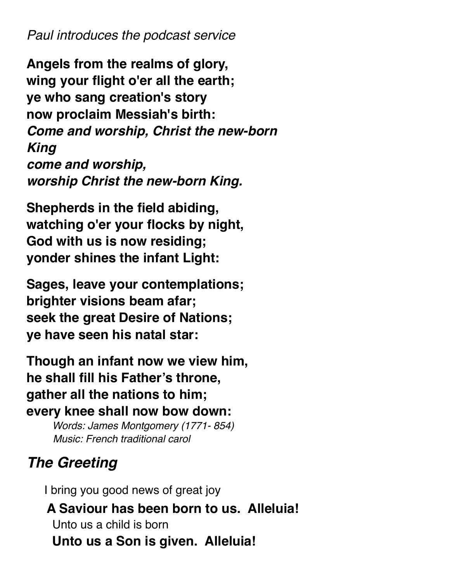*Paul introduces the podcast service*

**Angels from the realms of glory, wing your flight o'er all the earth; ye who sang creation's story now proclaim Messiah's birth:**  *Come and worship, Christ the new-born King come and worship, worship Christ the new-born King.* 

**Shepherds in the field abiding, watching o'er your flocks by night, God with us is now residing; yonder shines the infant Light:** 

**Sages, leave your contemplations; brighter visions beam afar; seek the great Desire of Nations; ye have seen his natal star:** 

**Though an infant now we view him, he shall fill his Father's throne, gather all the nations to him; every knee shall now bow down:** 

> *Words: James Montgomery (1771- 854) Music: French traditional carol*

# *The Greeting*

 I bring you good news of great joy  **A Saviour has been born to us. Alleluia!**  Unto us a child is born **Unto us a Son is given. Alleluia!**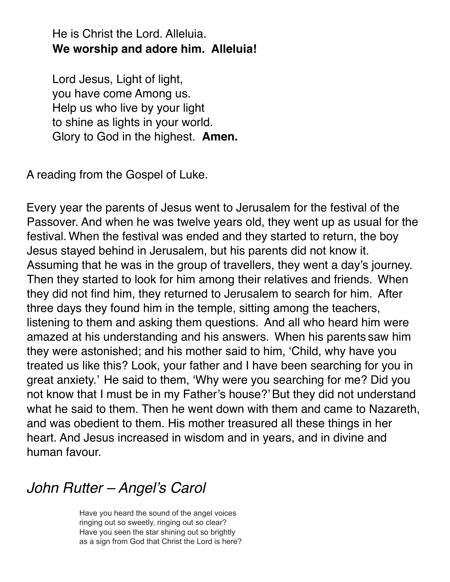He is Christ the Lord. Alleluia. **We worship and adore him. Alleluia!** 

Lord Jesus, Light of light, you have come Among us. Help us who live by your light to shine as lights in your world. Glory to God in the highest. **Amen.**

A reading from the Gospel of Luke.

Every year the parents of Jesus went to Jerusalem for the festival of the Passover. And when he was twelve years old, they went up as usual for the festival. When the festival was ended and they started to return, the boy Jesus stayed behind in Jerusalem, but his parents did not know it. Assuming that he was in the group of travellers, they went a day's journey. Then they started to look for him among their relatives and friends. When they did not find him, they returned to Jerusalem to search for him. After three days they found him in the temple, sitting among the teachers, listening to them and asking them questions. And all who heard him were amazed at his understanding and his answers. When his parents saw him they were astonished; and his mother said to him, 'Child, why have you treated us like this? Look, your father and I have been searching for you in great anxiety.' He said to them, 'Why were you searching for me? Did you not know that I must be in my Father's house?' But they did not understand what he said to them. Then he went down with them and came to Nazareth, and was obedient to them. His mother treasured all these things in her heart. And Jesus increased in wisdom and in years, and in divine and human favour.

## *John Rutter – Angel's Carol*

Have you heard the sound of the angel voices ringing out so sweetly, ringing out so clear? Have you seen the star shining out so brightly as a sign from God that Christ the Lord is here?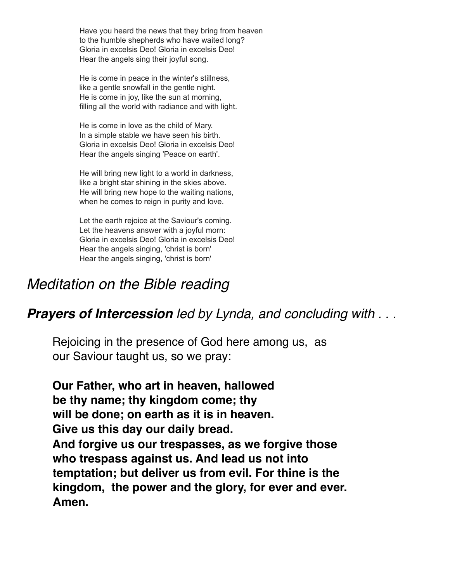Have you heard the news that they bring from heaven to the humble shepherds who have waited long? Gloria in excelsis Deo! Gloria in excelsis Deo! Hear the angels sing their joyful song.

He is come in peace in the winter's stillness, like a gentle snowfall in the gentle night. He is come in joy, like the sun at morning, filling all the world with radiance and with light.

He is come in love as the child of Mary. In a simple stable we have seen his birth. Gloria in excelsis Deo! Gloria in excelsis Deo! Hear the angels singing 'Peace on earth'.

He will bring new light to a world in darkness, like a bright star shining in the skies above. He will bring new hope to the waiting nations, when he comes to reign in purity and love.

Let the earth rejoice at the Saviour's coming. Let the heavens answer with a joyful morn: Gloria in excelsis Deo! Gloria in excelsis Deo! Hear the angels singing, 'christ is born' Hear the angels singing, 'christ is born'

## *Meditation on the Bible reading*

### *Prayers of Intercession led by Lynda, and concluding with . . .*

Rejoicing in the presence of God here among us, as our Saviour taught us, so we pray:

**Our Father, who art in heaven, hallowed be thy name; thy kingdom come; thy will be done; on earth as it is in heaven. Give us this day our daily bread. And forgive us our trespasses, as we forgive those who trespass against us. And lead us not into temptation; but deliver us from evil. For thine is the kingdom, the power and the glory, for ever and ever. Amen.**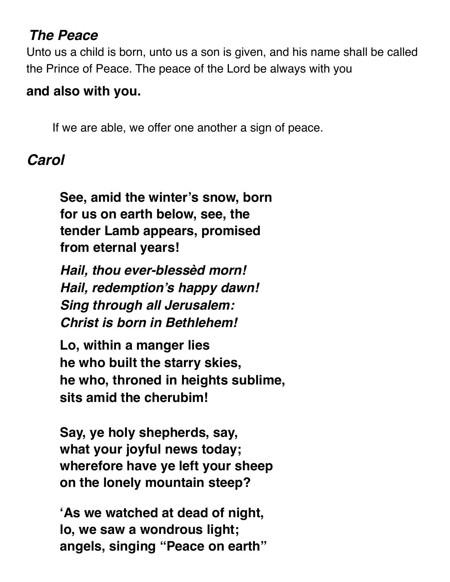## *The Peace*

Unto us a child is born, unto us a son is given, and his name shall be called the Prince of Peace. The peace of the Lord be always with you

## **and also with you.**

If we are able, we offer one another a sign of peace.

# *Carol*

**See, amid the winter's snow, born for us on earth below, see, the tender Lamb appears, promised from eternal years!** 

*Hail, thou ever-blessèd morn! Hail, redemption's happy dawn! Sing through all Jerusalem: Christ is born in Bethlehem!* 

**Lo, within a manger lies he who built the starry skies, he who, throned in heights sublime, sits amid the cherubim!** 

**Say, ye holy shepherds, say, what your joyful news today; wherefore have ye left your sheep on the lonely mountain steep?** 

**'As we watched at dead of night, lo, we saw a wondrous light; angels, singing "Peace on earth"**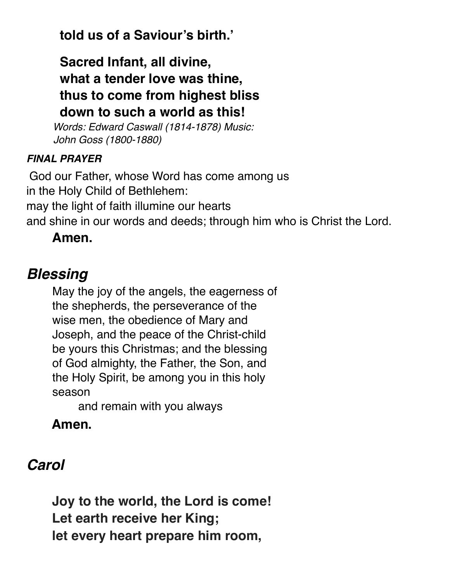**told us of a Saviour's birth.'**

**Sacred Infant, all divine, what a tender love was thine, thus to come from highest bliss down to such a world as this!** 

*Words: Edward Caswall (1814-1878) Music: John Goss (1800-1880)* 

#### *FINAL PRAYER*

God our Father, whose Word has come among us in the Holy Child of Bethlehem: may the light of faith illumine our hearts and shine in our words and deeds; through him who is Christ the Lord.

### **Amen.**

## *Blessing*

May the joy of the angels, the eagerness of the shepherds, the perseverance of the wise men, the obedience of Mary and Joseph, and the peace of the Christ-child be yours this Christmas; and the blessing of God almighty, the Father, the Son, and the Holy Spirit, be among you in this holy season

and remain with you always

## **Amen.**

# *Carol*

**Joy to the world, the Lord is come! Let earth receive her King; let every heart prepare him room,**